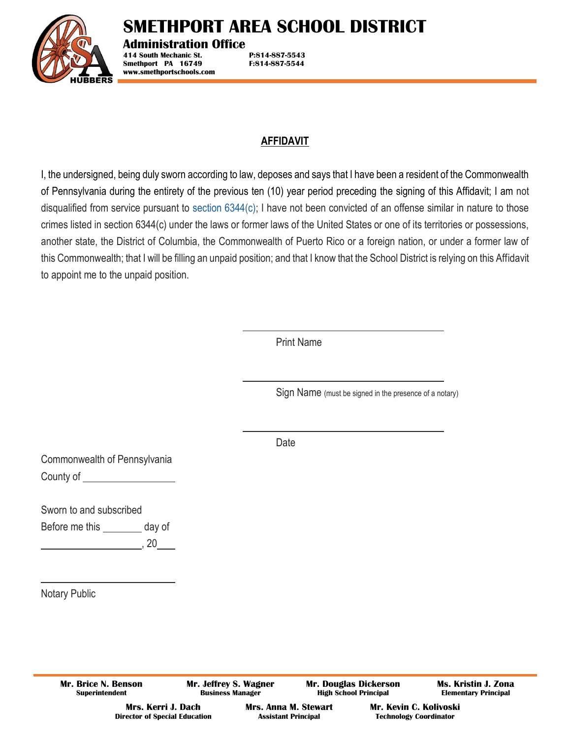

# **SMETHPORT AREA SCHOOL DISTRICT**

**Administration Office**

**414 South Mechanic St. P:814-887-5543 Smethport PA 16749 F:814-887-5544 www.smethportschools.com**

## **AFFIDAVIT**

I, the undersigned, being duly sworn according to law, deposes and says that I have been a resident of the Commonwealth of Pennsylvania during the entirety of the previous ten (10) year period preceding the signing of this Affidavit; I am not disqualified from service pursuant to [section 6344\(c\);](https://1.next.westlaw.com/Link/Document/FullText?findType=L&pubNum=1000262&cite=PA23S6344&originatingDoc=N24949CF1E53A11E3B581C374D0A677D2&refType=SP&originationContext=document&transitionType=DocumentItem&contextData=(sc.UserEnteredCitation)#co_pp_4b24000003ba5) I have not been convicted of an offense similar in nature to those crimes listed in section 6344(c) under the laws or former laws of the United States or one of its territories or possessions, another state, the District of Columbia, the Commonwealth of Puerto Rico or a foreign nation, or under a former law of this Commonwealth; that I will be filling an unpaid position; and that I know that the School District is relying on this Affidavit to appoint me to the unpaid position.

Print Name

Sign Name (must be signed in the presence of a notary)

Date

Commonwealth of Pennsylvania County of

Sworn to and subscribed

Before me this \_\_\_\_\_\_\_\_\_ day of

 $, 20$ 

Notary Public

**Mr. Brice N. Benson Superintendent**

**Mr. Jeffrey S. Wagner Business Manager**

**Mr. Douglas Dickerson High School Principal**

**Ms. Kristin J. Zona Elementary Principal**

**Mrs. Kerri J. Dach Director of Special Education** **Mrs. Anna M. Stewart Assistant Principal**

**Mr. Kevin C. Kolivoski Technology Coordinator**